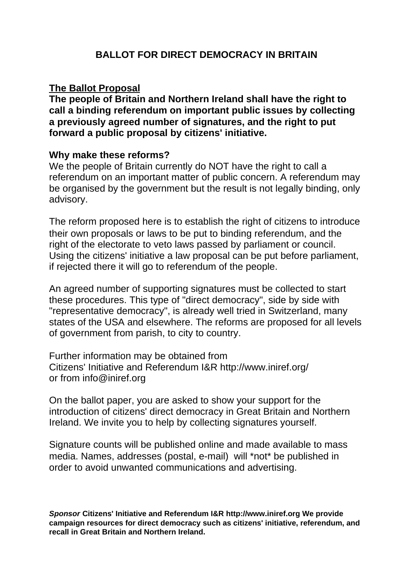## **The Ballot Proposal**

**The people of Britain and Northern Ireland shall have the right to call a binding referendum on important public issues by collecting a previously agreed number of signatures, and the right to put forward a public proposal by citizens' initiative.**

## **Why make these reforms?**

We the people of Britain currently do NOT have the right to call a referendum on an important matter of public concern. A referendum may be organised by the government but the result is not legally binding, only advisory.

The reform proposed here is to establish the right of citizens to introduce their own proposals or laws to be put to binding referendum, and the right of the electorate to veto laws passed by parliament or council. Using the citizens' initiative a law proposal can be put before parliament, if rejected there it will go to referendum of the people.

An agreed number of supporting signatures must be collected to start these procedures. This type of "direct democracy", side by side with "representative democracy", is already well tried in Switzerland, many states of the USA and elsewhere. The reforms are proposed for all levels of government from parish, to city to country.

Further information may be obtained from Citizens' Initiative and Referendum I&R <http://www.iniref.org/> or from [info@iniref.org](mailto:info@iniref.org)

On the ballot paper, you are asked to show your support for the introduction of citizens' direct democracy in Great Britain and Northern Ireland. We invite you to help by collecting signatures yourself.

Signature counts will be published online and made available to mass media. Names, addresses (postal, e-mail) will \*not\* be published in order to avoid unwanted communications and advertising.

**Sponsor Citizens' Initiative and Referendum I&R<http://www.iniref.org> We provide campaign resources for direct democracy such as citizens' initiative, referendum, and recall in Great Britain and Northern Ireland.**